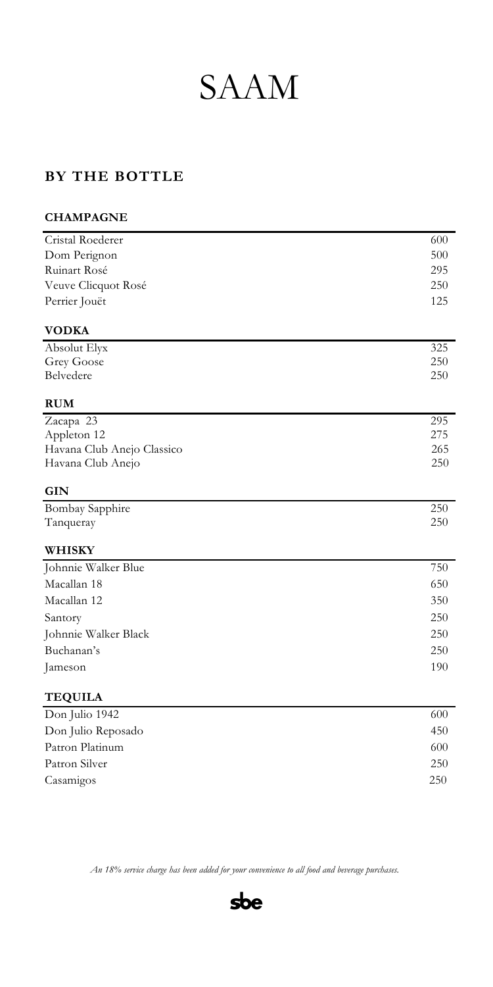# SAAM

### **BY THE BOTTLE**

## **CHAMPAGNE** Cristal Roederer 600 Dom Perignon 500 Ruinart Rosé 295 Veuve Clicquot Rosé 250 Perrier Jouët 125 **VODKA** Absolut Elyx 325 Grey Goose 250 Belvedere 250 **RUM** Zacapa 23 295 Appleton 12 275 Havana Club Anejo Classico265 Havana Club Anejo250 **GIN** Bombay Sapphire 250 Tanqueray 250 **WHISKY** Johnnie Walker Blue 750 Macallan 18 650 Macallan 12 350 Santory 250 Johnnie Walker Black 250 Buchanan's 250 Jameson 190 **TEQUILA**

| Don Julio 1942     | 600 |
|--------------------|-----|
| Don Julio Reposado | 450 |
| Patron Platinum    | 600 |
| Patron Silver      | 250 |
| Casamigos          | 250 |
|                    |     |

*An 18% service charge has been added for your convenience to all food and beverage purchases.*

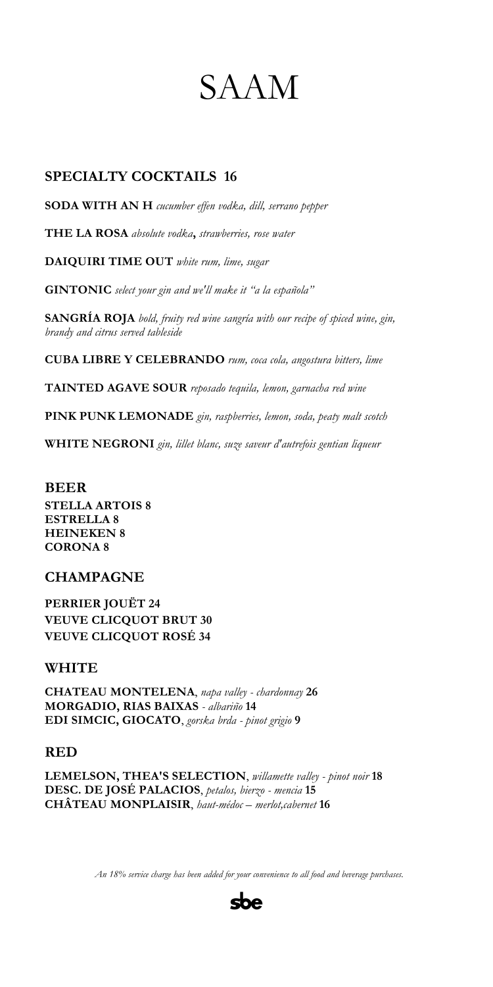# SAAM

#### **SPECIALTY COCKTAILS 16**

**SODA WITH AN H** *cucumber effen vodka, dill, serrano pepper*

**THE LA ROSA** *absolute vodka***,** *strawberries, rose water*

**DAIQUIRI TIME OUT** *white rum, lime, sugar*

**GINTONIC** *select your gin and we'll make it "a la española"*

**SANGRÍA ROJA** *bold, fruity red wine sangría with our recipe of spiced wine, gin, brandy and citrus served tableside*

**CUBA LIBRE Y CELEBRANDO** *rum, coca cola, angostura bitters, lime* 

**TAINTED AGAVE SOUR** *reposado tequila, lemon, garnacha red wine*

**PINK PUNK LEMONADE** *gin, raspberries, lemon, soda, peaty malt scotch*

**WHITE NEGRONI** *gin, lillet blanc, suze saveur d'autrefois gentian liqueur*

#### **BEER**

**STELLA ARTOIS 8 ESTRELLA 8 HEINEKEN 8 CORONA 8** 

#### **CHAMPAGNE**

**PERRIER JOUËT 24 VEUVE CLICQUOT BRUT 30 VEUVE CLICQUOT ROSÉ 34**

#### **WHITE**

**CHATEAU MONTELENA**, *napa valley - chardonnay* **26 MORGADIO, RIAS BAIXAS** *- albariño* **14 EDI SIMCIC, GIOCATO**, *gorska brda - pinot grigio* **9**

#### **RED**

**LEMELSON, THEA'S SELECTION**, *willamette valley - pinot noir* **18 DESC. DE JOSÉ PALACIOS**, *petalos, bierzo - mencia* **15 CHÂTEAU MONPLAISIR**, *haut-médoc – merlot,cabernet* **16**

*An 18% service charge has been added for your convenience to all food and beverage purchases.*